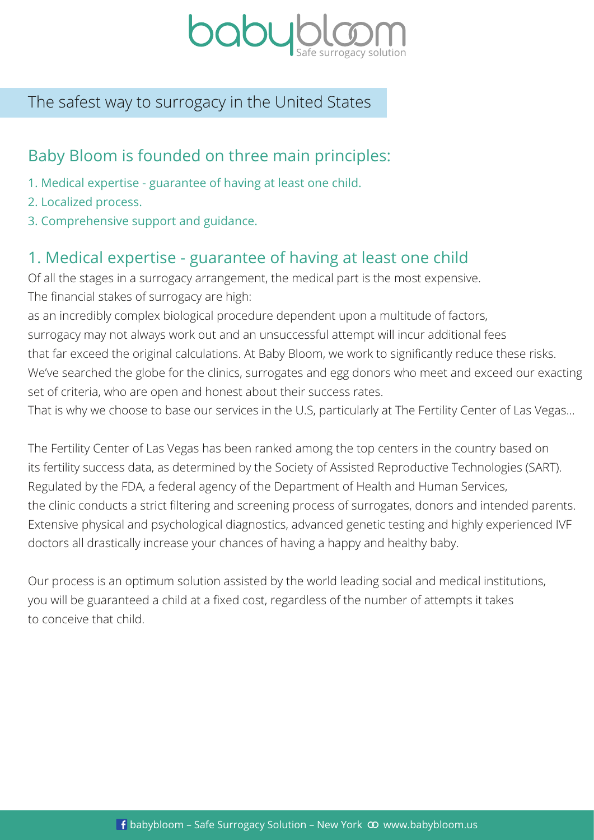

## The safest way to surrogacy in the United States

## Baby Bloom is founded on three main principles:

- 1. Medical expertise guarantee of having at least one child.
- 2. Localized process.
- 3. Comprehensive support and guidance.

# 1. Medical expertise - guarantee of having at least one child

Of all the stages in a surrogacy arrangement, the medical part is the most expensive. The financial stakes of surrogacy are high:

as an incredibly complex biological procedure dependent upon a multitude of factors, surrogacy may not always work out and an unsuccessful attempt will incur additional fees that far exceed the original calculations. At Baby Bloom, we work to significantly reduce these risks. We've searched the globe for the clinics, surrogates and egg donors who meet and exceed our exacting set of criteria, who are open and honest about their success rates.

That is why we choose to base our services in the U.S, particularly at The Fertility Center of Las Vegas…

The Fertility Center of Las Vegas has been ranked among the top centers in the country based on its fertility success data, as determined by the Society of Assisted Reproductive Technologies (SART). Regulated by the FDA, a federal agency of the Department of Health and Human Services, the clinic conducts a strict filtering and screening process of surrogates, donors and intended parents. Extensive physical and psychological diagnostics, advanced genetic testing and highly experienced IVF doctors all drastically increase your chances of having a happy and healthy baby.

Our process is an optimum solution assisted by the world leading social and medical institutions, you will be guaranteed a child at a fixed cost, regardless of the number of attempts it takes to conceive that child.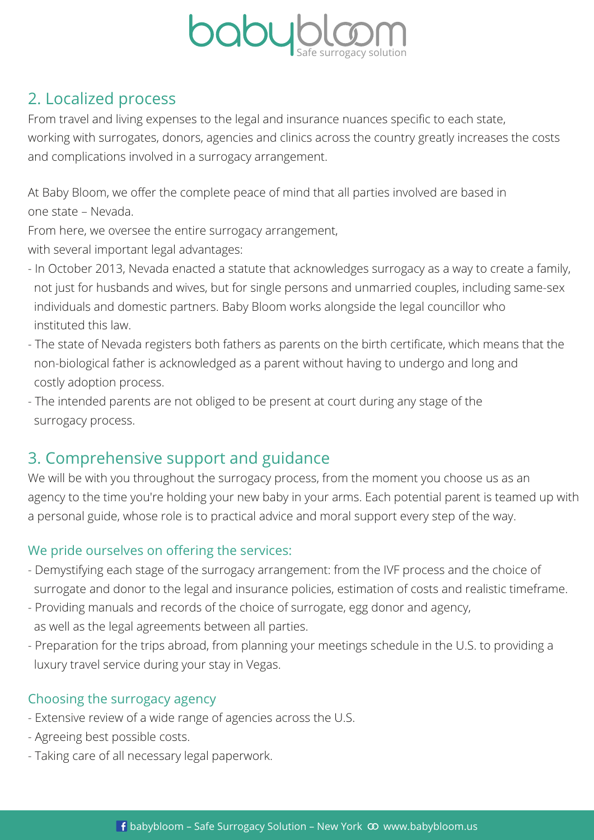

# 2. Localized process

From travel and living expenses to the legal and insurance nuances specific to each state,

working with surrogates, donors, agencies and clinics across the country greatly increases the costs and complications involved in a surrogacy arrangement.

At Baby Bloom, we offer the complete peace of mind that all parties involved are based in one state – Nevada.

From here, we oversee the entire surrogacy arrangement,

with several important legal advantages:

- In October 2013, Nevada enacted a statute that acknowledges surrogacy as a way to create a family, not just for husbands and wives, but for single persons and unmarried couples, including same-sex individuals and domestic partners. Baby Bloom works alongside the legal councillor who instituted this law.
- The state of Nevada registers both fathers as parents on the birth certificate, which means that the non-biological father is acknowledged as a parent without having to undergo and long and costly adoption process.
- The intended parents are not obliged to be present at court during any stage of the surrogacy process.

# 3. Comprehensive support and guidance

We will be with you throughout the surrogacy process, from the moment you choose us as an agency to the time you're holding your new baby in your arms. Each potential parent is teamed up with a personal guide, whose role is to practical advice and moral support every step of the way.

### We pride ourselves on offering the services:

- Demystifying each stage of the surrogacy arrangement: from the IVF process and the choice of surrogate and donor to the legal and insurance policies, estimation of costs and realistic timeframe.
- Providing manuals and records of the choice of surrogate, egg donor and agency, as well as the legal agreements between all parties.
- Preparation for the trips abroad, from planning your meetings schedule in the U.S. to providing a luxury travel service during your stay in Vegas.

## Choosing the surrogacy agency

- Extensive review of a wide range of agencies across the U.S.
- Agreeing best possible costs.
- Taking care of all necessary legal paperwork.